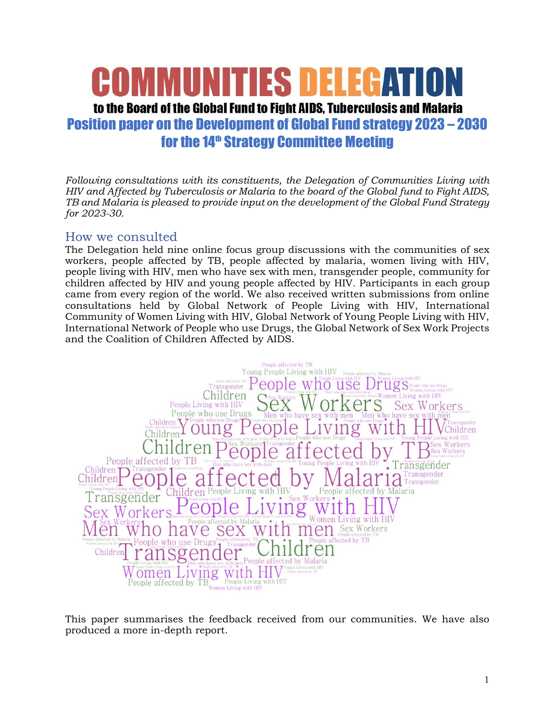# **MIINITIES DELEF**A

## to the Board of the Global Fund to Fight AIDS. Tuberculosis and Malaria Position paper on the Development of Global Fund strategy 2023 – 2030 for the 14<sup>th</sup> Strategy Committee Meeting

*Following consultations with its constituents, the Delegation of Communities Living with HIV and Affected by Tuberculosis or Malaria to the board of the Global fund to Fight AIDS, TB and Malaria is pleased to provide input on the development of the Global Fund Strategy for 2023-30.*

#### How we consulted

The Delegation held nine online focus group discussions with the communities of sex workers, people affected by TB, people affected by malaria, women living with HIV, people living with HIV, men who have sex with men, transgender people, community for children affected by HIV and young people affected by HIV. Participants in each group came from every region of the world. We also received written submissions from online consultations held by Global Network of People Living with HIV, International Community of Women Living with HIV, Global Network of Young People Living with HIV, International Network of People who use Drugs, the Global Network of Sex Work Projects and the Coalition of Children Affected by AIDS.



This paper summarises the feedback received from our communities. We have also produced a more in-depth report.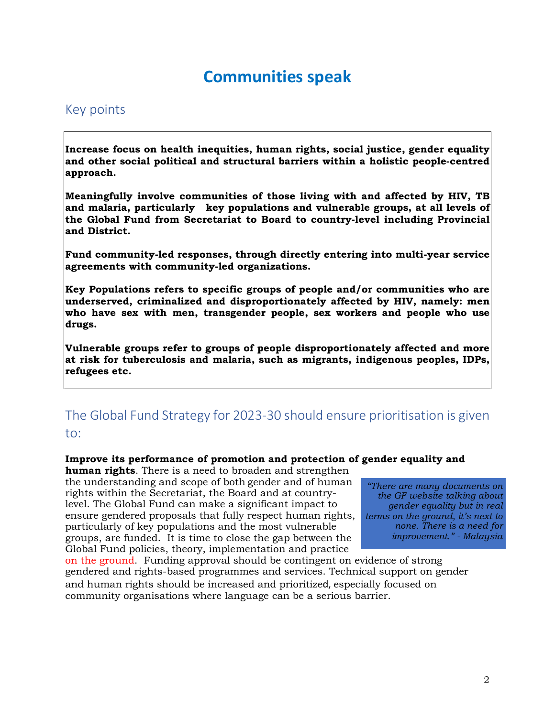# **Communities speak**

#### Key points

**Increase focus on health inequities, human rights, social justice, gender equality and other social political and structural barriers within a holistic people-centred approach.**

**Meaningfully involve communities of those living with and affected by HIV, TB and malaria, particularly key populations and vulnerable groups, at all levels of the Global Fund from Secretariat to Board to country-level including Provincial and District.**

**Fund community-led responses, through directly entering into multi-year service agreements with community-led organizations.**

**Key Populations refers to specific groups of people and/or communities who are underserved, criminalized and disproportionately affected by HIV, namely: men who have sex with men, transgender people, sex workers and people who use drugs.** 

**Vulnerable groups refer to groups of people disproportionately affected and more at risk for tuberculosis and malaria, such as migrants, indigenous peoples, IDPs, refugees etc.**

## The Global Fund Strategy for 2023-30 should ensure prioritisation is given to:

#### **Improve its performance of promotion and protection of gender equality and**

**human rights**. There is a need to broaden and strengthen the understanding and scope of both gender and of human rights within the Secretariat, the Board and at countrylevel. The Global Fund can make a significant impact to ensure gendered proposals that fully respect human rights, particularly of key populations and the most vulnerable groups, are funded. It is time to close the gap between the Global Fund policies, theory, implementation and practice

*"There are many documents on the GF website talking about gender equality but in real terms on the ground, it's next to none. There is a need for improvement." - Malaysia*

on the ground. Funding approval should be contingent on evidence of strong gendered and rights-based programmes and services. Technical support on gender and human rights should be increased and prioritized, especially focused on community organisations where language can be a serious barrier.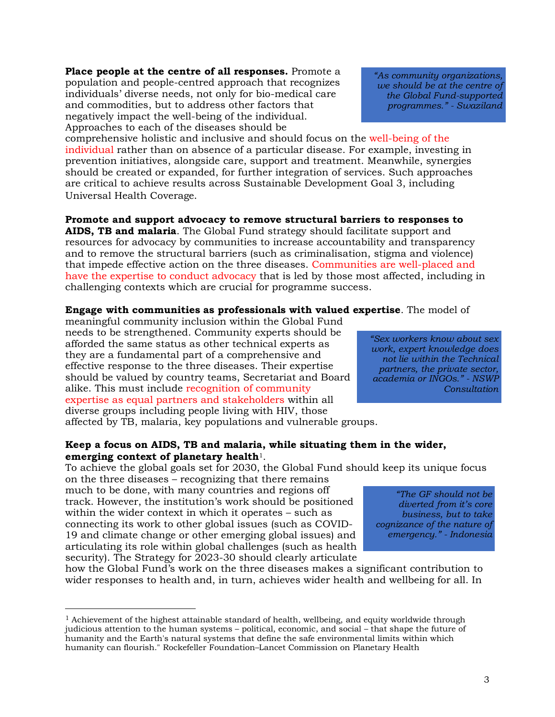**Place people at the centre of all responses.** Promote a population and people-centred approach that recognizes individuals' diverse needs, not only for bio-medical care and commodities, but to address other factors that negatively impact the well-being of the individual. Approaches to each of the diseases should be

comprehensive holistic and inclusive and should focus on the well-being of the individual rather than on absence of a particular disease. For example, investing in prevention initiatives, alongside care, support and treatment. Meanwhile, synergies should be created or expanded, for further integration of services. Such approaches are critical to achieve results across Sustainable Development Goal 3, including Universal Health Coverage.

**Promote and support advocacy to remove structural barriers to responses to AIDS, TB and malaria**. The Global Fund strategy should facilitate support and resources for advocacy by communities to increase accountability and transparency and to remove the structural barriers (such as criminalisation, stigma and violence) that impede effective action on the three diseases. Communities are well-placed and have the expertise to conduct advocacy that is led by those most affected, including in challenging contexts which are crucial for programme success.

#### **Engage with communities as professionals with valued expertise**. The model of

meaningful community inclusion within the Global Fund needs to be strengthened. Community experts should be afforded the same status as other technical experts as they are a fundamental part of a comprehensive and effective response to the three diseases. Their expertise should be valued by country teams, Secretariat and Board alike. This must include recognition of community expertise as equal partners and stakeholders within all diverse groups including people living with HIV, those affected by TB, malaria, key populations and vulnerable groups.

#### **Keep a focus on AIDS, TB and malaria, while situating them in the wider, emerging context of planetary health**1.

To achieve the global goals set for 2030, the Global Fund should keep its unique focus

on the three diseases – recognizing that there remains much to be done, with many countries and regions off track. However, the institution's work should be positioned within the wider context in which it operates – such as connecting its work to other global issues (such as COVID-19 and climate change or other emerging global issues) and articulating its role within global challenges (such as health security). The Strategy for 2023-30 should clearly articulate

how the Global Fund's work on the three diseases makes a significant contribution to wider responses to health and, in turn, achieves wider health and wellbeing for all. In

*"Sex workers know about sex work, expert knowledge does not lie within the Technical partners, the private sector, academia or INGOs." - NSWP Consultation*

*"As community organizations, we should be at the centre of the Global Fund-supported programmes." - Swaziland*

*"The GF should not be diverted from it's core business, but to take cognizance of the nature of emergency." - Indonesia*

 $<sup>1</sup>$  Achievement of the highest attainable standard of health, wellbeing, and equity worldwide through</sup> judicious attention to the human systems – political, economic, and social – that shape the future of humanity and the Earth's natural systems that define the safe environmental limits within which humanity can flourish." Rockefeller Foundation–Lancet Commission on Planetary Health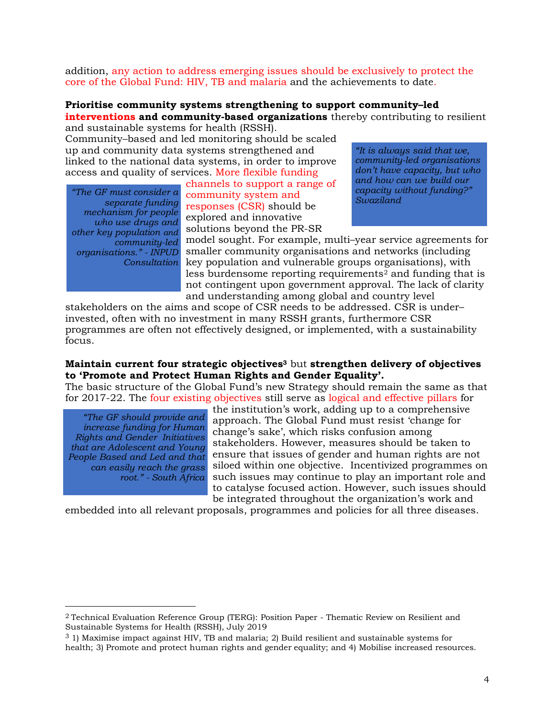addition, any action to address emerging issues should be exclusively to protect the core of the Global Fund: HIV, TB and malaria and the achievements to date.

#### **Prioritise community systems strengthening to support community–led interventions and community-based organizations** thereby contributing to resilient

and sustainable systems for health (RSSH).

Community–based and led monitoring should be scaled up and community data systems strengthened and linked to the national data systems, in order to improve access and quality of services. More flexible funding

*separate funding mechanism for people who use drugs and other key population and community-led organisations." - INPUD Consultation*

channels to support a range of community system and *"The GF must consider a* responses (CSR) should be explored and innovative solutions beyond the PR-SR

*"It is always said that we, community-led organisations don't have capacity, but who and how can we build our capacity without funding?" Swaziland*

model sought. For example, multi–year service agreements for smaller community organisations and networks (including key population and vulnerable groups organisations), with less burdensome reporting requirements<sup>2</sup> and funding that is not contingent upon government approval. The lack of clarity and understanding among global and country level

stakeholders on the aims and scope of CSR needs to be addressed. CSR is under– invested, often with no investment in many RSSH grants, furthermore CSR programmes are often not effectively designed, or implemented, with a sustainability focus.

#### **Maintain current four strategic objectives<sup>3</sup>** but **strengthen delivery of objectives to 'Promote and Protect Human Rights and Gender Equality'.**

The basic structure of the Global Fund's new Strategy should remain the same as that for 2017-22. The four existing objectives still serve as logical and effective pillars for

*"The GF should provide and increase funding for Human Rights and Gender Initiatives that are Adolescent and Young People Based and Led and that can easily reach the grass root." - South Africa*

the institution's work, adding up to a comprehensive approach. The Global Fund must resist 'change for change's sake', which risks confusion among stakeholders. However, measures should be taken to ensure that issues of gender and human rights are not siloed within one objective. Incentivized programmes on such issues may continue to play an important role and to catalyse focused action. However, such issues should be integrated throughout the organization's work and

embedded into all relevant proposals, programmes and policies for all three diseases.

<sup>2</sup> Technical Evaluation Reference Group (TERG): Position Paper - Thematic Review on Resilient and Sustainable Systems for Health (RSSH), July 2019

<sup>3</sup> 1) Maximise impact against HIV, TB and malaria; 2) Build resilient and sustainable systems for health; 3) Promote and protect human rights and gender equality; and 4) Mobilise increased resources.